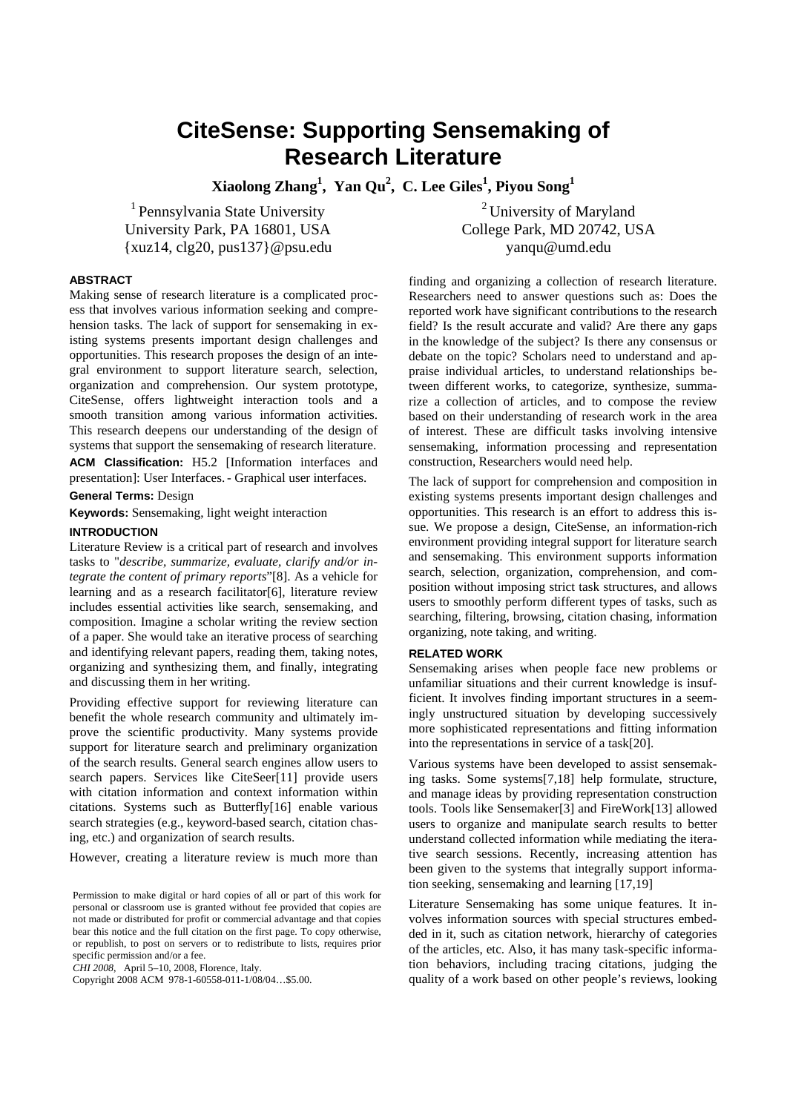# **CiteSense: Supporting Sensemaking of Research Literature**

**Xiaolong Zhang<sup>1</sup> , Yan Qu2 , C. Lee Giles<sup>1</sup> , Piyou Song1**

1 Pennsylvania State University University Park, PA 16801, USA {xuz14, clg20, pus137}@psu.edu

2 University of Maryland College Park, MD 20742, USA yanqu@umd.edu

## **ABSTRACT**

Making sense of research literature is a complicated process that involves various information seeking and comprehension tasks. The lack of support for sensemaking in existing systems presents important design challenges and opportunities. This research proposes the design of an integral environment to support literature search, selection, organization and comprehension. Our system prototype, CiteSense, offers lightweight interaction tools and a smooth transition among various information activities. This research deepens our understanding of the design of systems that support the sensemaking of research literature.

**ACM Classification:** H5.2 [Information interfaces and presentation]: User Interfaces.- Graphical user interfaces.

**General Terms:** Design

**Keywords:** Sensemaking, light weight interaction

## **INTRODUCTION**

Literature Review is a critical part of research and involves tasks to "*describe, summarize, evaluate, clarify and/or integrate the content of primary reports*"[8]. As a vehicle for learning and as a research facilitator[6], literature review includes essential activities like search, sensemaking, and composition. Imagine a scholar writing the review section of a paper. She would take an iterative process of searching and identifying relevant papers, reading them, taking notes, organizing and synthesizing them, and finally, integrating and discussing them in her writing.

Providing effective support for reviewing literature can benefit the whole research community and ultimately improve the scientific productivity. Many systems provide support for literature search and preliminary organization of the search results. General search engines allow users to search papers. Services like CiteSeer[11] provide users with citation information and context information within citations. Systems such as Butterfly[16] enable various search strategies (e.g., keyword-based search, citation chasing, etc.) and organization of search results.

However, creating a literature review is much more than

*CHI 2008*, April 5–10, 2008, Florence, Italy.

Copyright 2008 ACM 978-1-60558-011-1/08/04…\$5.00.

finding and organizing a collection of research literature. Researchers need to answer questions such as: Does the reported work have significant contributions to the research field? Is the result accurate and valid? Are there any gaps in the knowledge of the subject? Is there any consensus or debate on the topic? Scholars need to understand and appraise individual articles, to understand relationships between different works, to categorize, synthesize, summarize a collection of articles, and to compose the review based on their understanding of research work in the area of interest. These are difficult tasks involving intensive sensemaking, information processing and representation construction, Researchers would need help.

The lack of support for comprehension and composition in existing systems presents important design challenges and opportunities. This research is an effort to address this issue. We propose a design, CiteSense, an information-rich environment providing integral support for literature search and sensemaking. This environment supports information search, selection, organization, comprehension, and composition without imposing strict task structures, and allows users to smoothly perform different types of tasks, such as searching, filtering, browsing, citation chasing, information organizing, note taking, and writing.

# **RELATED WORK**

Sensemaking arises when people face new problems or unfamiliar situations and their current knowledge is insufficient. It involves finding important structures in a seemingly unstructured situation by developing successively more sophisticated representations and fitting information into the representations in service of a task[20].

Various systems have been developed to assist sensemaking tasks. Some systems[7,18] help formulate, structure, and manage ideas by providing representation construction tools. Tools like Sensemaker[3] and FireWork[13] allowed users to organize and manipulate search results to better understand collected information while mediating the iterative search sessions. Recently, increasing attention has been given to the systems that integrally support information seeking, sensemaking and learning [17,19]

Literature Sensemaking has some unique features. It involves information sources with special structures embedded in it, such as citation network, hierarchy of categories of the articles, etc. Also, it has many task-specific information behaviors, including tracing citations, judging the quality of a work based on other people's reviews, looking

Permission to make digital or hard copies of all or part of this work for personal or classroom use is granted without fee provided that copies are not made or distributed for profit or commercial advantage and that copies bear this notice and the full citation on the first page. To copy otherwise, or republish, to post on servers or to redistribute to lists, requires prior specific permission and/or a fee.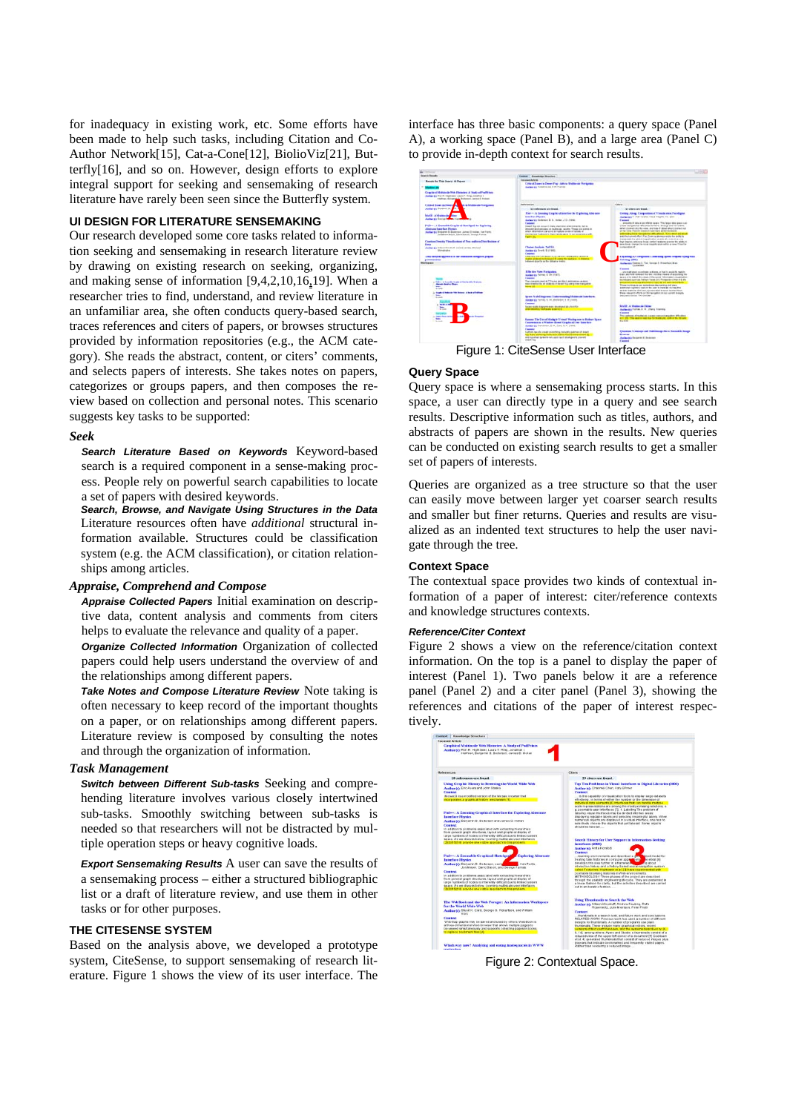for inadequacy in existing work, etc. Some efforts have been made to help such tasks, including Citation and Co-Author Network[15], Cat-a-Cone[12], BiolioViz[21], Butterfly[16], and so on. However, design efforts to explore integral support for seeking and sensemaking of research literature have rarely been seen since the Butterfly system.

## **UI DESIGN FOR LITERATURE SENSEMAKING**

Our research developed some core tasks related to information seeking and sensemaking in research literature review by drawing on existing research on seeking, organizing, and making sense of information [9,4,2,10,16,19]. When a researcher tries to find, understand, and review literature in an unfamiliar area, she often conducts query-based search, traces references and citers of papers, or browses structures provided by information repositories (e.g., the ACM category). She reads the abstract, content, or citers' comments, and selects papers of interests. She takes notes on papers, categorizes or groups papers, and then composes the review based on collection and personal notes. This scenario suggests key tasks to be supported:

## *Seek*

*Search Literature Based on Keywords* Keyword-based search is a required component in a sense-making process. People rely on powerful search capabilities to locate a set of papers with desired keywords.

*Search, Browse, and Navigate Using Structures in the Data*  Literature resources often have *additional* structural information available. Structures could be classification system (e.g. the ACM classification), or citation relationships among articles.

# *Appraise, Comprehend and Compose*

*Appraise Collected Papers* Initial examination on descriptive data, content analysis and comments from citers helps to evaluate the relevance and quality of a paper.

*Organize Collected Information* Organization of collected papers could help users understand the overview of and the relationships among different papers.

*Take Notes and Compose Literature Review* Note taking is often necessary to keep record of the important thoughts on a paper, or on relationships among different papers. Literature review is composed by consulting the notes and through the organization of information.

#### *Task Management*

*Switch between Different Sub-tasks* Seeking and comprehending literature involves various closely intertwined sub-tasks. Smoothly switching between sub-tasks is needed so that researchers will not be distracted by multiple operation steps or heavy cognitive loads.

*Export Sensemaking Results* A user can save the results of a sensemaking process – either a structured bibliographic list or a draft of literature review, and use them in other tasks or for other purposes.

# **THE CITESENSE SYSTEM**

Based on the analysis above, we developed a prototype system, CiteSense, to support sensemaking of research literature. Figure 1 shows the view of its user interface. The interface has three basic components: a query space (Panel A), a working space (Panel B), and a large area (Panel C) to provide in-depth context for search results.

| <b>Scale Lis Research</b>                                                                                                                                                                                  | Execute / Automobile Mountain                                                                                                                                                                                                                               |                                                                                                                                                                                                                                                                                                                                                                                                                                                                                                                                                                                                                                      |
|------------------------------------------------------------------------------------------------------------------------------------------------------------------------------------------------------------|-------------------------------------------------------------------------------------------------------------------------------------------------------------------------------------------------------------------------------------------------------------|--------------------------------------------------------------------------------------------------------------------------------------------------------------------------------------------------------------------------------------------------------------------------------------------------------------------------------------------------------------------------------------------------------------------------------------------------------------------------------------------------------------------------------------------------------------------------------------------------------------------------------------|
| <b>Ronaldo for This Quanti 44 Pagests</b><br>تقاسما<br>Coupland Mobile de With Hansder, A Touth of Fulfillian<br>Audeuts for it Haltman Lace T. Ros. Juratur L.<br>rather, Science & Boleson, Jersey Holen | <b>Excused Arizin</b><br>Critical Experts Desert Fog. Adic to Maldersk Prefering<br><b>Number on Thingson, Jul, S. W. 7 prices</b>                                                                                                                          |                                                                                                                                                                                                                                                                                                                                                                                                                                                                                                                                                                                                                                      |
| da in Malilionia Resignition<br>Combod Expert in Tennes N                                                                                                                                                  | <b>Ballymouth</b>                                                                                                                                                                                                                                           | <b>Clean</b>                                                                                                                                                                                                                                                                                                                                                                                                                                                                                                                                                                                                                         |
| Audience Systems at N<br>÷                                                                                                                                                                                 | <b>In the discussions can a decision</b>                                                                                                                                                                                                                    | 15 diese in new Street 11                                                                                                                                                                                                                                                                                                                                                                                                                                                                                                                                                                                                            |
| Market A Madelmark & Court<br>Authorize Germany<br><b>PADres &amp; Zasmakie Crapte of Geninged for Exploring</b>                                                                                           | Ful-- A Enough Cracks of Interface by Capturing Abstracts<br><b>London Honor</b><br>Authority Robmon & R. Holly, J.D. Pitter,<br>Contract                                                                                                                   | <b>Central Alergy Composition of Virtualization Purchased</b><br>Authority 7. Aren Excess mixed Insures for dem-<br><b>Castled</b><br>annually of suburb an effects quark. This large data space can<br>cause nangeliens @fourism however. Brough area of culture                                                                                                                                                                                                                                                                                                                                                                    |
| Algement have been Pleman.<br>Audaca) Entered Automo Jane II mile, Caricas.<br>construct Moore, Starre Marine, George Furnal                                                                               | Down his rat mins to many startings and committee but to<br>stream and paintings at residences, selects. Those was subjected<br>about returnation can could be highers located of details of<br>PROVIDING THE SHEETS FABILITY CARDINAL ST. AU SIZENIST WITH | attack counsel rote the view, and has of strait when historical out<br>of the class. Precent man acts from them determined the<br>addressed of the ad franchiser and collected. In the situation and collect<br>and the battery which Plan Doors is stored account the strike by<br>training and the stout management when you and a support to a root                                                                                                                                                                                                                                                                               |
| Coastian Deader Visually show of Tow seators, Daw Automotive<br><b>There</b><br>Audian advect being. Butchild college and complete<br><b>Shortengton</b>                                                   | Chang Jackson Tel Ed.<br>Auducks Doods, S. (1980)                                                                                                                                                                                                           | hart implies, selection for an institute opinions arounded the plotter for<br>searched change his coup magnification within a coup Thurs has<br>considered at 1                                                                                                                                                                                                                                                                                                                                                                                                                                                                      |
| Two control opposed to the common design of graphs<br><b><i><u>A COMMERCIAL COMMERCIAL</u></i></b><br><b>Business</b>                                                                                      | Castrone<br>Asserting that the layout is not random, we around traditional<br>thatte and on turbinous (1), comp for turbine to the determa-<br>Industrial state to the disturbance budde                                                                    | Englanding 183 Nortganisms Combining Torrell complete Fining with<br>Cultures (MEL)<br>Authority Creeker & Tak Service & Subschool Mary                                                                                                                                                                                                                                                                                                                                                                                                                                                                                              |
| a Sales a bonda toda di Antonio Estonia<br><b>House brates Boxes</b><br>$\overline{a}$<br><b>Stationary</b>                                                                                                | <b>Effective View Reciprodes</b><br><b>National Femal G di IT&amp;TS</b><br>Continued<br>The committee pand & Children and the Landmastong restore.<br>was mainly at public of pupiling cars can be used<br><b>Name of Col</b>                              | <b><i><u>Independent</u></i></b><br><b>Comment</b><br>who must actually a paraficially surface to  or than the annual file, markets<br>Last World Antique RA No. Acciding magica of considers the<br>Brown cars, deputy the class of the acces. Miscondact countries on<br>decreased with as Follows Views 213 FormerDox Wall P.B. Box<br><b>Department Land CCT and Channel From TIB and hardfully makes.</b><br>Those techniques are semployed discounting and stace.<br>a building and completely to part out them when the interest and you trapp. Must<br>analysis community. Who have a minimum start to expect to prove them. |
| 1 Inspectible car five faces: a lack of homes<br>$\sim$<br><b>STAR</b>                                                                                                                                     | <b>Service &amp; she Deservance: Tradementing Motion air Journalisms</b><br><b>Ballacan Force, G. W. Ballacan &amp; &amp; crook</b><br>Counsel                                                                                                              | these expects affects at 30 variation is no conset draugh.<br>deputated below. TA/22440910                                                                                                                                                                                                                                                                                                                                                                                                                                                                                                                                           |
| <b>Limited Avenue</b><br>$\overline{\phantom{a}}$<br><b>COMPANY</b><br>a financial form on their<br><b>Pro de Groupellon</b>                                                                               | Sean such dispose any inverse in plants.<br>artist districtly visible air determine                                                                                                                                                                         | Maritti - A Madane pla Estimat<br>Authority Force, A. M. Park Sterling<br><b>Campai</b><br>The continues of incidentals capacitizations that subset influences                                                                                                                                                                                                                                                                                                                                                                                                                                                                       |
| $\overline{\phantom{a}}$<br><b>Service</b>                                                                                                                                                                 | <b>Rooses The Count Multiple Tiernal Workspace in Robert Novel</b><br>Contraction to a Window Road, Conclusive Corp. Later Sect.<br>Authority Hendelson, D. A., Card, b. A. (1989).<br><b>Comment</b>                                                       | and the first papers was but he his middle book or by he best."<br>the line                                                                                                                                                                                                                                                                                                                                                                                                                                                                                                                                                          |
|                                                                                                                                                                                                            | <b>Rusham Face of a construction of the country of the anti-</b><br>No. Mary authorizing tools, built as the Monito artist prompt (S. 19)<br>and funation termine new years built draft-point provent<br><b>START TOP</b>                                   | Departure Triversity and Rubbleman for a Consultie Group<br><b>Browned</b><br>Authority Resorted Avenue<br>Castronic                                                                                                                                                                                                                                                                                                                                                                                                                                                                                                                 |

Figure 1: CiteSense User Interface

#### **Query Space**

Query space is where a sensemaking process starts. In this space, a user can directly type in a query and see search results. Descriptive information such as titles, authors, and abstracts of papers are shown in the results. New queries can be conducted on existing search results to get a smaller set of papers of interests.

Queries are organized as a tree structure so that the user can easily move between larger yet coarser search results and smaller but finer returns. Queries and results are visualized as an indented text structures to help the user navigate through the tree.

#### **Context Space**

The contextual space provides two kinds of contextual information of a paper of interest: citer/reference contexts and knowledge structures contexts.

## *Reference/Citer Context*

Figure 2 shows a view on the reference/citation context information. On the top is a panel to display the paper of interest (Panel 1). Two panels below it are a reference panel (Panel 2) and a citer panel (Panel 3), showing the references and citations of the paper of interest respectively.



Figure 2: Contextual Space.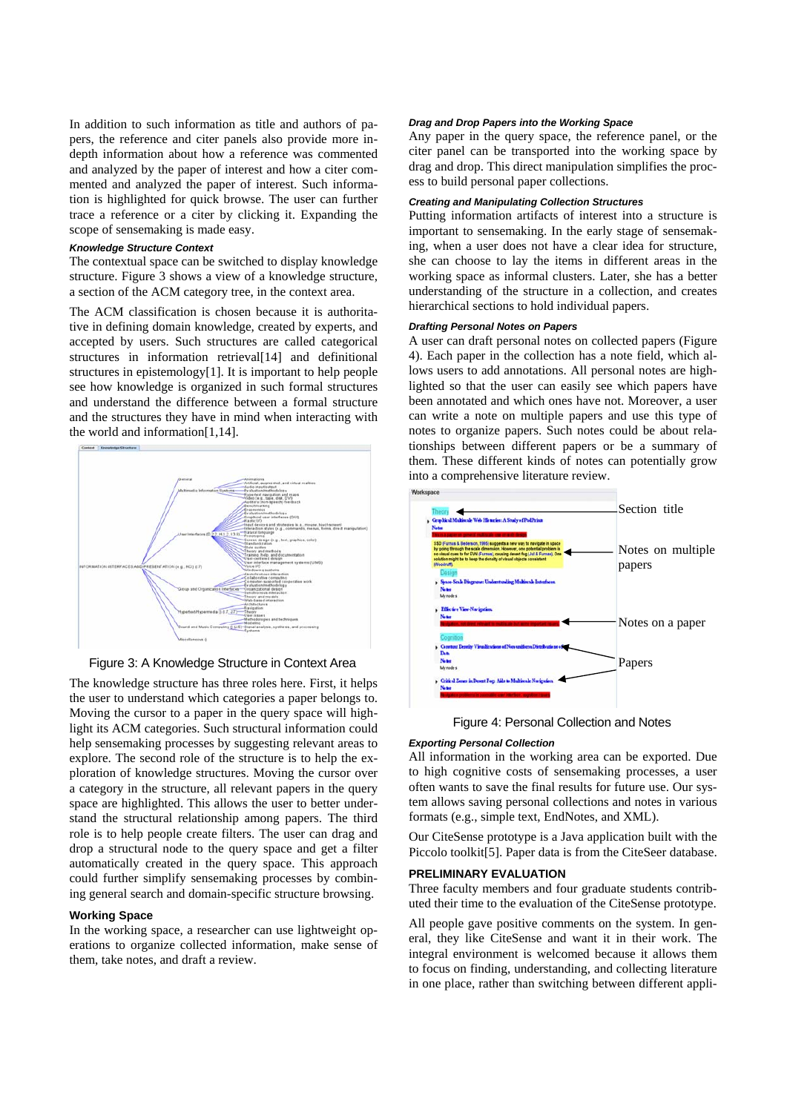In addition to such information as title and authors of papers, the reference and citer panels also provide more indepth information about how a reference was commented and analyzed by the paper of interest and how a citer commented and analyzed the paper of interest. Such information is highlighted for quick browse. The user can further trace a reference or a citer by clicking it. Expanding the scope of sensemaking is made easy.

#### *Knowledge Structure Context*

The contextual space can be switched to display knowledge structure. Figure 3 shows a view of a knowledge structure, a section of the ACM category tree, in the context area.

The ACM classification is chosen because it is authoritative in defining domain knowledge, created by experts, and accepted by users. Such structures are called categorical structures in information retrieval[14] and definitional structures in epistemology[1]. It is important to help people see how knowledge is organized in such formal structures and understand the difference between a formal structure and the structures they have in mind when interacting with the world and information[1,14].



Figure 3: A Knowledge Structure in Context Area

The knowledge structure has three roles here. First, it helps the user to understand which categories a paper belongs to. Moving the cursor to a paper in the query space will highlight its ACM categories. Such structural information could help sensemaking processes by suggesting relevant areas to explore. The second role of the structure is to help the exploration of knowledge structures. Moving the cursor over a category in the structure, all relevant papers in the query space are highlighted. This allows the user to better understand the structural relationship among papers. The third role is to help people create filters. The user can drag and drop a structural node to the query space and get a filter automatically created in the query space. This approach could further simplify sensemaking processes by combining general search and domain-specific structure browsing.

## **Working Space**

In the working space, a researcher can use lightweight operations to organize collected information, make sense of them, take notes, and draft a review.

#### *Drag and Drop Papers into the Working Space*

Any paper in the query space, the reference panel, or the citer panel can be transported into the working space by drag and drop. This direct manipulation simplifies the process to build personal paper collections.

## *Creating and Manipulating Collection Structures*

Putting information artifacts of interest into a structure is important to sensemaking. In the early stage of sensemaking, when a user does not have a clear idea for structure, she can choose to lay the items in different areas in the working space as informal clusters. Later, she has a better understanding of the structure in a collection, and creates hierarchical sections to hold individual papers.

# *Drafting Personal Notes on Papers*

A user can draft personal notes on collected papers (Figure 4). Each paper in the collection has a note field, which allows users to add annotations. All personal notes are highlighted so that the user can easily see which papers have been annotated and which ones have not. Moreover, a user can write a note on multiple papers and use this type of notes to organize papers. Such notes could be about relationships between different papers or be a summary of them. These different kinds of notes can potentially grow into a comprehensive literature review.



Figure 4: Personal Collection and Notes

#### *Exporting Personal Collection*

All information in the working area can be exported. Due to high cognitive costs of sensemaking processes, a user often wants to save the final results for future use. Our system allows saving personal collections and notes in various formats (e.g., simple text, EndNotes, and XML).

Our CiteSense prototype is a Java application built with the Piccolo toolkit[5]. Paper data is from the CiteSeer database.

#### **PRELIMINARY EVALUATION**

Three faculty members and four graduate students contributed their time to the evaluation of the CiteSense prototype.

All people gave positive comments on the system. In general, they like CiteSense and want it in their work. The integral environment is welcomed because it allows them to focus on finding, understanding, and collecting literature in one place, rather than switching between different appli